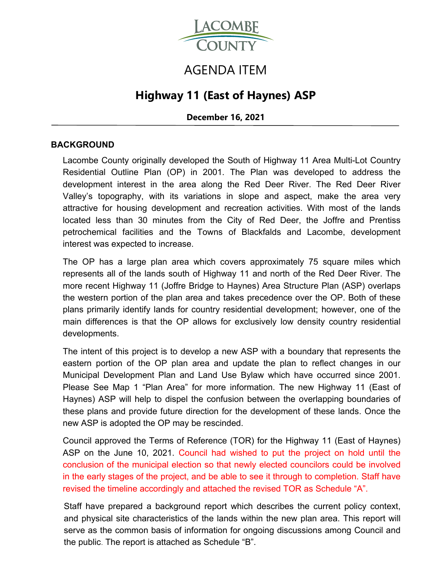

# AGENDA ITEM

## **Highway 11 (East of Haynes) ASP**

**December 16, 2021** 

#### **BACKGROUND**

Lacombe County originally developed the South of Highway 11 Area Multi-Lot Country Residential Outline Plan (OP) in 2001. The Plan was developed to address the development interest in the area along the Red Deer River. The Red Deer River Valley's topography, with its variations in slope and aspect, make the area very attractive for housing development and recreation activities. With most of the lands located less than 30 minutes from the City of Red Deer, the Joffre and Prentiss petrochemical facilities and the Towns of Blackfalds and Lacombe, development interest was expected to increase.

The OP has a large plan area which covers approximately 75 square miles which represents all of the lands south of Highway 11 and north of the Red Deer River. The more recent Highway 11 (Joffre Bridge to Haynes) Area Structure Plan (ASP) overlaps the western portion of the plan area and takes precedence over the OP. Both of these plans primarily identify lands for country residential development; however, one of the main differences is that the OP allows for exclusively low density country residential developments.

The intent of this project is to develop a new ASP with a boundary that represents the eastern portion of the OP plan area and update the plan to reflect changes in our Municipal Development Plan and Land Use Bylaw which have occurred since 2001. Please See Map 1 "Plan Area" for more information. The new Highway 11 (East of Haynes) ASP will help to dispel the confusion between the overlapping boundaries of these plans and provide future direction for the development of these lands. Once the new ASP is adopted the OP may be rescinded.

Council approved the Terms of Reference (TOR) for the Highway 11 (East of Haynes) ASP on the June 10, 2021. Council had wished to put the project on hold until the conclusion of the municipal election so that newly elected councilors could be involved in the early stages of the project, and be able to see it through to completion. Staff have revised the timeline accordingly and attached the revised TOR as Schedule "A".

Staff have prepared a background report which describes the current policy context, and physical site characteristics of the lands within the new plan area. This report will serve as the common basis of information for ongoing discussions among Council and the public. The report is attached as Schedule "B".